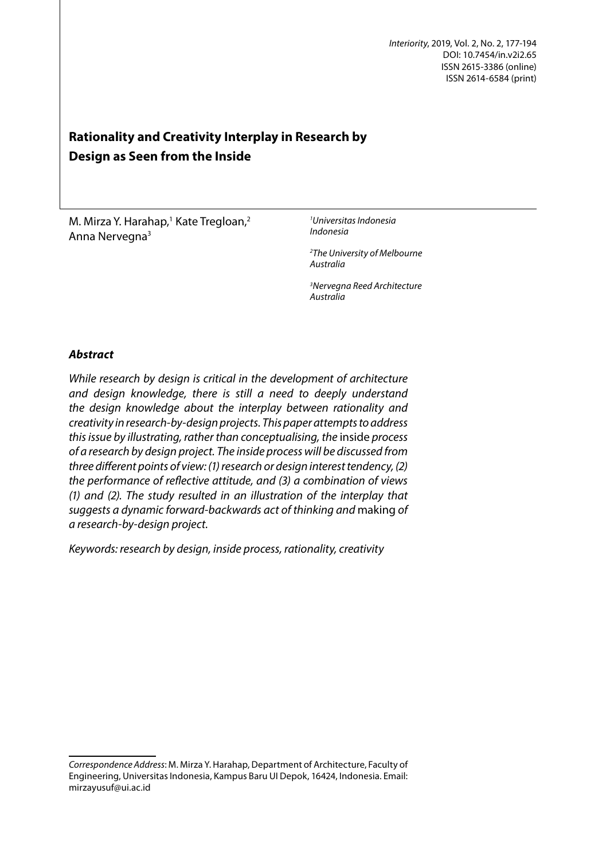# **Rationality and Creativity Interplay in Research by Design as Seen from the Inside**

M. Mirza Y. Harahap,<sup>1</sup> Kate Tregloan,<sup>2</sup> Anna Nervegna3

*1 Universitas Indonesia Indonesia*

*2 The University of Melbourne Australia*

*3 Nervegna Reed Architecture Australia*

# *Abstract*

*While research by design is critical in the development of architecture and design knowledge, there is still a need to deeply understand the design knowledge about the interplay between rationality and creativity in research-by-design projects. This paper attempts to address this issue by illustrating, rather than conceptualising, the* inside *process of a research by design project. The inside process will be discussed from three different points of view: (1) research or design interest tendency, (2) the performance of reflective attitude, and (3) a combination of views (1) and (2). The study resulted in an illustration of the interplay that suggests a dynamic forward-backwards act of thinking and* making *of a research-by-design project.*

*Keywords: research by design, inside process, rationality, creativity1*

*Correspondence Address*: M. Mirza Y. Harahap, Department of Architecture, Faculty of Engineering, Universitas Indonesia, Kampus Baru UI Depok, 16424, Indonesia. Email: mirzayusuf@ui.ac.id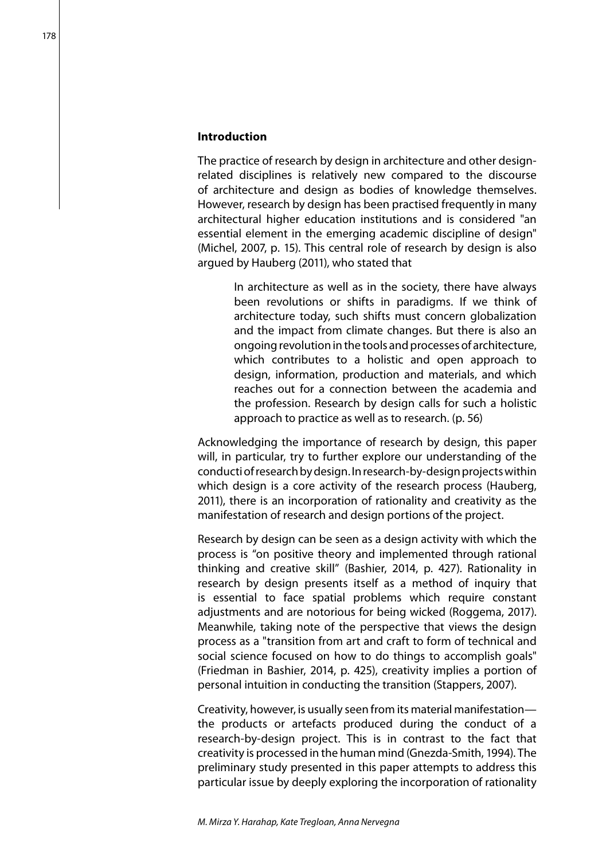#### **Introduction**

The practice of research by design in architecture and other designrelated disciplines is relatively new compared to the discourse of architecture and design as bodies of knowledge themselves. However, research by design has been practised frequently in many architectural higher education institutions and is considered "an essential element in the emerging academic discipline of design" (Michel, 2007, p. 15). This central role of research by design is also argued by Hauberg (2011), who stated that

> In architecture as well as in the society, there have always been revolutions or shifts in paradigms. If we think of architecture today, such shifts must concern globalization and the impact from climate changes. But there is also an ongoing revolution in the tools and processes of architecture, which contributes to a holistic and open approach to design, information, production and materials, and which reaches out for a connection between the academia and the profession. Research by design calls for such a holistic approach to practice as well as to research. (p. 56)

Acknowledging the importance of research by design, this paper will, in particular, try to further explore our understanding of the conducti of research by design. In research-by-design projects within which design is a core activity of the research process (Hauberg, 2011), there is an incorporation of rationality and creativity as the manifestation of research and design portions of the project.

Research by design can be seen as a design activity with which the process is "on positive theory and implemented through rational thinking and creative skill" (Bashier, 2014, p. 427). Rationality in research by design presents itself as a method of inquiry that is essential to face spatial problems which require constant adjustments and are notorious for being wicked (Roggema, 2017). Meanwhile, taking note of the perspective that views the design process as a "transition from art and craft to form of technical and social science focused on how to do things to accomplish goals" (Friedman in Bashier, 2014, p. 425), creativity implies a portion of personal intuition in conducting the transition (Stappers, 2007).

Creativity, however, is usually seen from its material manifestation the products or artefacts produced during the conduct of a research-by-design project. This is in contrast to the fact that creativity is processed in the human mind (Gnezda-Smith, 1994). The preliminary study presented in this paper attempts to address this particular issue by deeply exploring the incorporation of rationality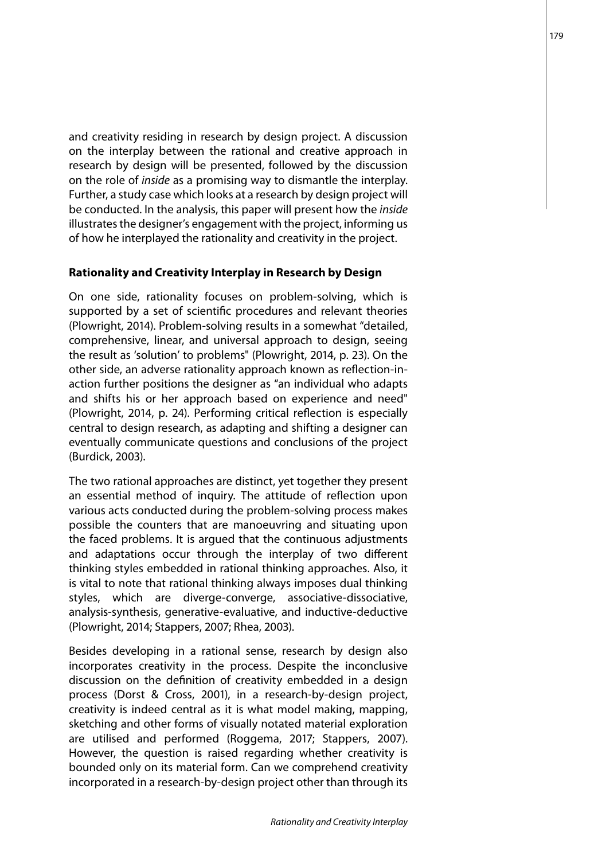and creativity residing in research by design project. A discussion on the interplay between the rational and creative approach in research by design will be presented, followed by the discussion on the role of *inside* as a promising way to dismantle the interplay. Further, a study case which looks at a research by design project will be conducted. In the analysis, this paper will present how the *inside* illustrates the designer's engagement with the project, informing us of how he interplayed the rationality and creativity in the project.

### **Rationality and Creativity Interplay in Research by Design**

On one side, rationality focuses on problem-solving, which is supported by a set of scientific procedures and relevant theories (Plowright, 2014). Problem-solving results in a somewhat "detailed, comprehensive, linear, and universal approach to design, seeing the result as 'solution' to problems" (Plowright, 2014, p. 23). On the other side, an adverse rationality approach known as reflection-inaction further positions the designer as "an individual who adapts and shifts his or her approach based on experience and need" (Plowright, 2014, p. 24). Performing critical reflection is especially central to design research, as adapting and shifting a designer can eventually communicate questions and conclusions of the project (Burdick, 2003).

The two rational approaches are distinct, yet together they present an essential method of inquiry. The attitude of reflection upon various acts conducted during the problem-solving process makes possible the counters that are manoeuvring and situating upon the faced problems. It is argued that the continuous adjustments and adaptations occur through the interplay of two different thinking styles embedded in rational thinking approaches. Also, it is vital to note that rational thinking always imposes dual thinking styles, which are diverge-converge, associative-dissociative, analysis-synthesis, generative-evaluative, and inductive-deductive (Plowright, 2014; Stappers, 2007; Rhea, 2003).

Besides developing in a rational sense, research by design also incorporates creativity in the process. Despite the inconclusive discussion on the definition of creativity embedded in a design process (Dorst & Cross, 2001), in a research-by-design project, creativity is indeed central as it is what model making, mapping, sketching and other forms of visually notated material exploration are utilised and performed (Roggema, 2017; Stappers, 2007). However, the question is raised regarding whether creativity is bounded only on its material form. Can we comprehend creativity incorporated in a research-by-design project other than through its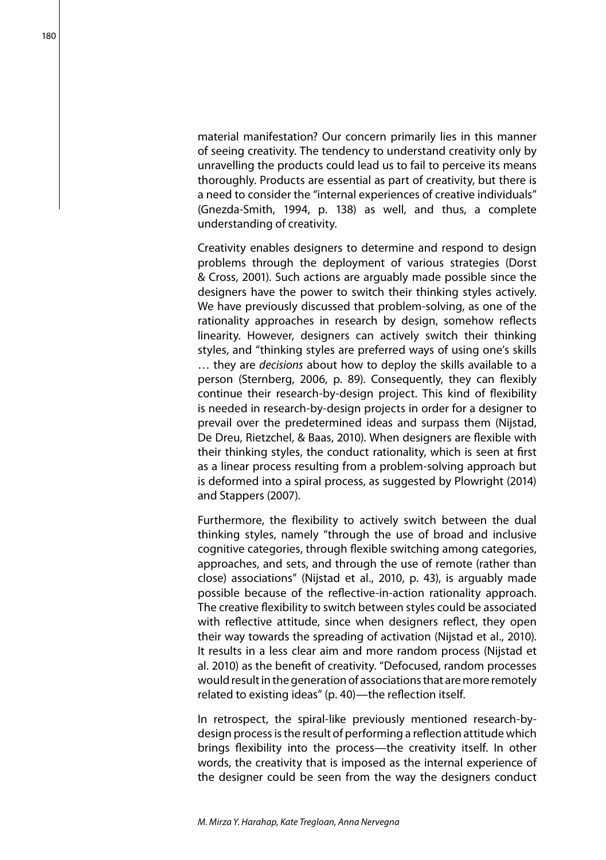material manifestation? Our concern primarily lies in this manner of seeing creativity. The tendency to understand creativity only by unravelling the products could lead us to fail to perceive its means thoroughly. Products are essential as part of creativity, but there is a need to consider the "internal experiences of creative individuals" (Gnezda-Smith, 1994, p. 138) as well, and thus, a complete understanding of creativity.

Creativity enables designers to determine and respond to design problems through the deployment of various strategies (Dorst & Cross, 2001). Such actions are arguably made possible since the designers have the power to switch their thinking styles actively. We have previously discussed that problem-solving, as one of the rationality approaches in research by design, somehow reflects linearity. However, designers can actively switch their thinking styles, and "thinking styles are preferred ways of using one's skills … they are *decisions* about how to deploy the skills available to a person (Sternberg, 2006, p. 89). Consequently, they can flexibly continue their research-by-design project. This kind of flexibility is needed in research-by-design projects in order for a designer to prevail over the predetermined ideas and surpass them (Nijstad, De Dreu, Rietzchel, & Baas, 2010). When designers are flexible with their thinking styles, the conduct rationality, which is seen at first as a linear process resulting from a problem-solving approach but is deformed into a spiral process, as suggested by Plowright (2014) and Stappers (2007).

Furthermore, the flexibility to actively switch between the dual thinking styles, namely "through the use of broad and inclusive cognitive categories, through flexible switching among categories, approaches, and sets, and through the use of remote (rather than close) associations" (Nijstad et al., 2010, p. 43), is arguably made possible because of the reflective-in-action rationality approach. The creative flexibility to switch between styles could be associated with reflective attitude, since when designers reflect, they open their way towards the spreading of activation (Nijstad et al., 2010). It results in a less clear aim and more random process (Nijstad et al. 2010) as the benefit of creativity. "Defocused, random processes would result in the generation of associations that are more remotely related to existing ideas" (p. 40)—the reflection itself.

In retrospect, the spiral-like previously mentioned research-bydesign process is the result of performing a reflection attitude which brings flexibility into the process—the creativity itself. In other words, the creativity that is imposed as the internal experience of the designer could be seen from the way the designers conduct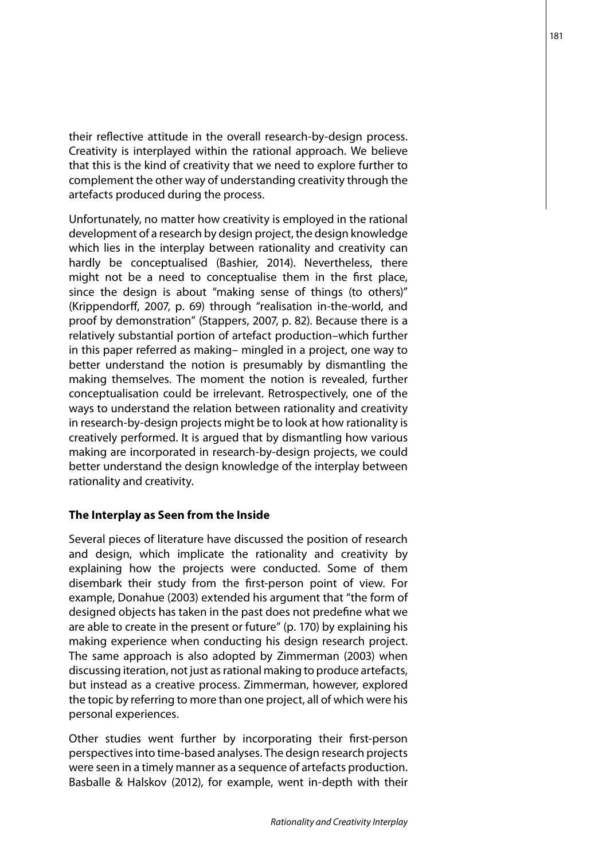their reflective attitude in the overall research-by-design process. Creativity is interplayed within the rational approach. We believe that this is the kind of creativity that we need to explore further to complement the other way of understanding creativity through the artefacts produced during the process.

Unfortunately, no matter how creativity is employed in the rational development of a research by design project, the design knowledge which lies in the interplay between rationality and creativity can hardly be conceptualised (Bashier, 2014). Nevertheless, there might not be a need to conceptualise them in the first place, since the design is about "making sense of things (to others)" (Krippendorff, 2007, p. 69) through "realisation in-the-world, and proof by demonstration" (Stappers, 2007, p. 82). Because there is a relatively substantial portion of artefact production–which further in this paper referred as making– mingled in a project, one way to better understand the notion is presumably by dismantling the making themselves. The moment the notion is revealed, further conceptualisation could be irrelevant. Retrospectively, one of the ways to understand the relation between rationality and creativity in research-by-design projects might be to look at how rationality is creatively performed. It is argued that by dismantling how various making are incorporated in research-by-design projects, we could better understand the design knowledge of the interplay between rationality and creativity.

## **The Interplay as Seen from the Inside**

Several pieces of literature have discussed the position of research and design, which implicate the rationality and creativity by explaining how the projects were conducted. Some of them disembark their study from the first-person point of view. For example, Donahue (2003) extended his argument that "the form of designed objects has taken in the past does not predefine what we are able to create in the present or future" (p. 170) by explaining his making experience when conducting his design research project. The same approach is also adopted by Zimmerman (2003) when discussing iteration, not just as rational making to produce artefacts, but instead as a creative process. Zimmerman, however, explored the topic by referring to more than one project, all of which were his personal experiences.

Other studies went further by incorporating their first-person perspectives into time-based analyses. The design research projects were seen in a timely manner as a sequence of artefacts production. Basballe & Halskov (2012), for example, went in-depth with their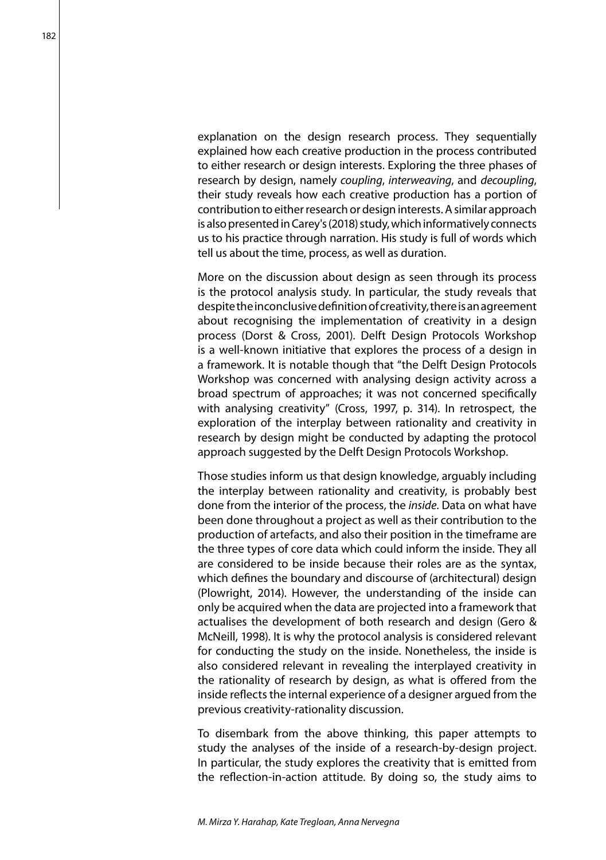explanation on the design research process. They sequentially explained how each creative production in the process contributed to either research or design interests. Exploring the three phases of research by design, namely *coupling*, *interweaving*, and *decoupling*, their study reveals how each creative production has a portion of contribution to either research or design interests. A similar approach is also presented in Carey's (2018) study, which informatively connects us to his practice through narration. His study is full of words which tell us about the time, process, as well as duration.

More on the discussion about design as seen through its process is the protocol analysis study. In particular, the study reveals that despite the inconclusive definition of creativity, there is an agreement about recognising the implementation of creativity in a design process (Dorst & Cross, 2001). Delft Design Protocols Workshop is a well-known initiative that explores the process of a design in a framework. It is notable though that "the Delft Design Protocols Workshop was concerned with analysing design activity across a broad spectrum of approaches; it was not concerned specifically with analysing creativity" (Cross, 1997, p. 314). In retrospect, the exploration of the interplay between rationality and creativity in research by design might be conducted by adapting the protocol approach suggested by the Delft Design Protocols Workshop.

Those studies inform us that design knowledge, arguably including the interplay between rationality and creativity, is probably best done from the interior of the process, the *inside*. Data on what have been done throughout a project as well as their contribution to the production of artefacts, and also their position in the timeframe are the three types of core data which could inform the inside. They all are considered to be inside because their roles are as the syntax, which defines the boundary and discourse of (architectural) design (Plowright, 2014). However, the understanding of the inside can only be acquired when the data are projected into a framework that actualises the development of both research and design (Gero & McNeill, 1998). It is why the protocol analysis is considered relevant for conducting the study on the inside. Nonetheless, the inside is also considered relevant in revealing the interplayed creativity in the rationality of research by design, as what is offered from the inside reflects the internal experience of a designer argued from the previous creativity-rationality discussion.

To disembark from the above thinking, this paper attempts to study the analyses of the inside of a research-by-design project. In particular, the study explores the creativity that is emitted from the reflection-in-action attitude. By doing so, the study aims to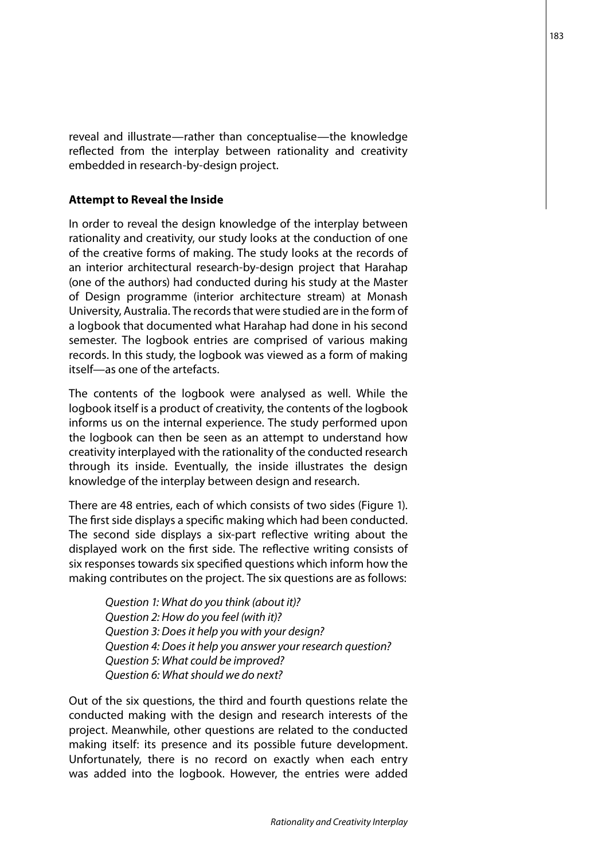reveal and illustrate—rather than conceptualise—the knowledge reflected from the interplay between rationality and creativity embedded in research-by-design project.

#### **Attempt to Reveal the Inside**

In order to reveal the design knowledge of the interplay between rationality and creativity, our study looks at the conduction of one of the creative forms of making. The study looks at the records of an interior architectural research-by-design project that Harahap (one of the authors) had conducted during his study at the Master of Design programme (interior architecture stream) at Monash University, Australia. The records that were studied are in the form of a logbook that documented what Harahap had done in his second semester. The logbook entries are comprised of various making records. In this study, the logbook was viewed as a form of making itself—as one of the artefacts.

The contents of the logbook were analysed as well. While the logbook itself is a product of creativity, the contents of the logbook informs us on the internal experience. The study performed upon the logbook can then be seen as an attempt to understand how creativity interplayed with the rationality of the conducted research through its inside. Eventually, the inside illustrates the design knowledge of the interplay between design and research.

There are 48 entries, each of which consists of two sides (Figure 1). The first side displays a specific making which had been conducted. The second side displays a six-part reflective writing about the displayed work on the first side. The reflective writing consists of six responses towards six specified questions which inform how the making contributes on the project. The six questions are as follows:

> *Question 1: What do you think (about it)? Question 2: How do you feel (with it)? Question 3: Does it help you with your design? Question 4: Does it help you answer your research question? Question 5: What could be improved? Question 6: What should we do next?*

Out of the six questions, the third and fourth questions relate the conducted making with the design and research interests of the project. Meanwhile, other questions are related to the conducted making itself: its presence and its possible future development. Unfortunately, there is no record on exactly when each entry was added into the logbook. However, the entries were added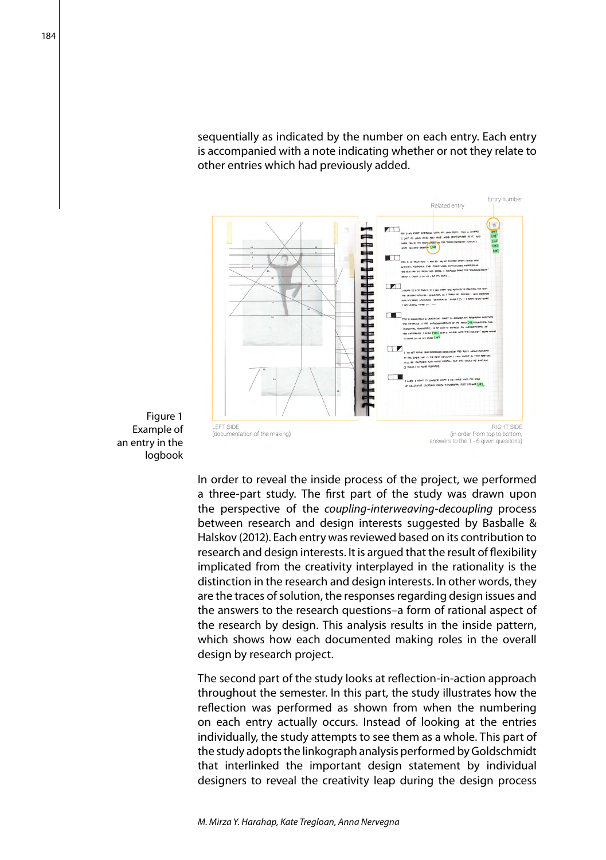sequentially as indicated by the number on each entry. Each entry is accompanied with a note indicating whether or not they relate to other entries which had previously added.



Figure 1 Example of an entry in the logbook

> In order to reveal the inside process of the project, we performed a three-part study. The first part of the study was drawn upon the perspective of the *coupling-interweaving-decoupling* process between research and design interests suggested by Basballe & Halskov (2012). Each entry was reviewed based on its contribution to research and design interests. It is argued that the result of flexibility implicated from the creativity interplayed in the rationality is the distinction in the research and design interests. In other words, they are the traces of solution, the responses regarding design issues and the answers to the research questions–a form of rational aspect of the research by design. This analysis results in the inside pattern, which shows how each documented making roles in the overall design by research project.

> The second part of the study looks at reflection-in-action approach throughout the semester. In this part, the study illustrates how the reflection was performed as shown from when the numbering on each entry actually occurs. Instead of looking at the entries individually, the study attempts to see them as a whole. This part of the study adopts the linkograph analysis performed by Goldschmidt that interlinked the important design statement by individual designers to reveal the creativity leap during the design process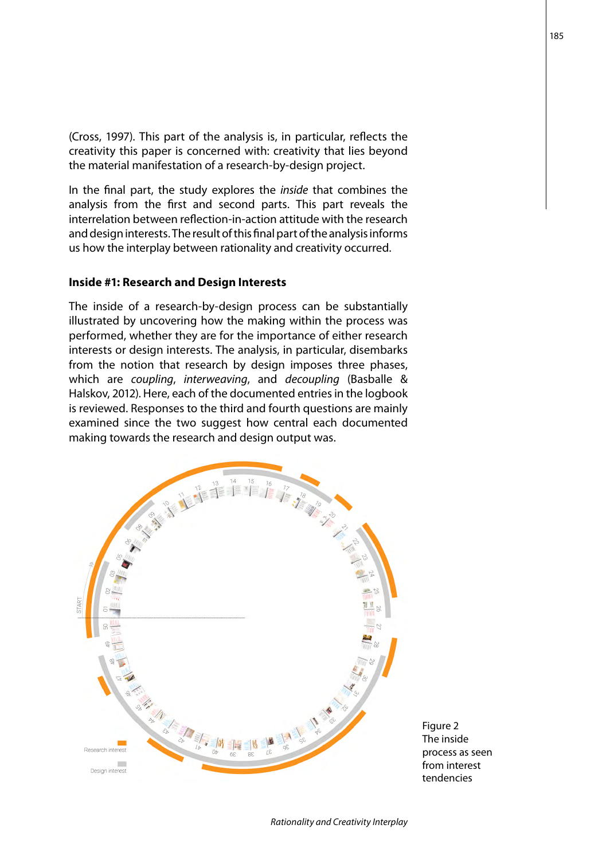(Cross, 1997). This part of the analysis is, in particular, reflects the creativity this paper is concerned with: creativity that lies beyond the material manifestation of a research-by-design project.

In the final part, the study explores the *inside* that combines the analysis from the first and second parts. This part reveals the interrelation between reflection-in-action attitude with the research and design interests. The result of this final part of the analysis informs us how the interplay between rationality and creativity occurred.

## **Inside #1: Research and Design Interests**

The inside of a research-by-design process can be substantially illustrated by uncovering how the making within the process was performed, whether they are for the importance of either research interests or design interests. The analysis, in particular, disembarks from the notion that research by design imposes three phases, which are *coupling*, *interweaving*, and *decoupling* (Basballe & Halskov, 2012). Here, each of the documented entries in the logbook is reviewed. Responses to the third and fourth questions are mainly examined since the two suggest how central each documented making towards the research and design output was.



Figure 2 The inside process as seen from interest tendencies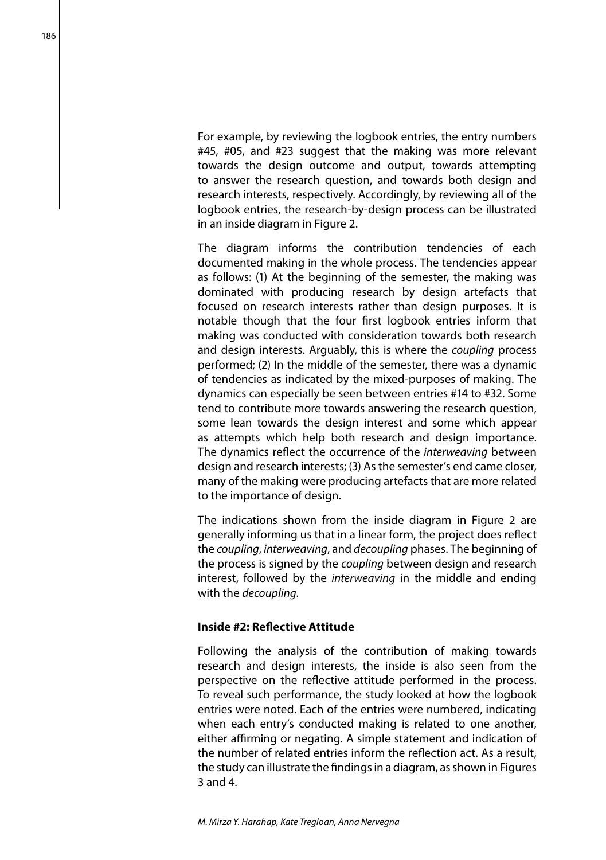For example, by reviewing the logbook entries, the entry numbers #45, #05, and #23 suggest that the making was more relevant towards the design outcome and output, towards attempting to answer the research question, and towards both design and research interests, respectively. Accordingly, by reviewing all of the logbook entries, the research-by-design process can be illustrated in an inside diagram in Figure 2.

The diagram informs the contribution tendencies of each documented making in the whole process. The tendencies appear as follows: (1) At the beginning of the semester, the making was dominated with producing research by design artefacts that focused on research interests rather than design purposes. It is notable though that the four first logbook entries inform that making was conducted with consideration towards both research and design interests. Arguably, this is where the *coupling* process performed; (2) In the middle of the semester, there was a dynamic of tendencies as indicated by the mixed-purposes of making. The dynamics can especially be seen between entries #14 to #32. Some tend to contribute more towards answering the research question, some lean towards the design interest and some which appear as attempts which help both research and design importance. The dynamics reflect the occurrence of the *interweaving* between design and research interests; (3) As the semester's end came closer, many of the making were producing artefacts that are more related to the importance of design.

The indications shown from the inside diagram in Figure 2 are generally informing us that in a linear form, the project does reflect the *coupling*, *interweaving*, and *decoupling* phases. The beginning of the process is signed by the *coupling* between design and research interest, followed by the *interweaving* in the middle and ending with the *decoupling*.

## **Inside #2: Reflective Attitude**

Following the analysis of the contribution of making towards research and design interests, the inside is also seen from the perspective on the reflective attitude performed in the process. To reveal such performance, the study looked at how the logbook entries were noted. Each of the entries were numbered, indicating when each entry's conducted making is related to one another, either affirming or negating. A simple statement and indication of the number of related entries inform the reflection act. As a result, the study can illustrate the findings in a diagram, as shown in Figures 3 and 4.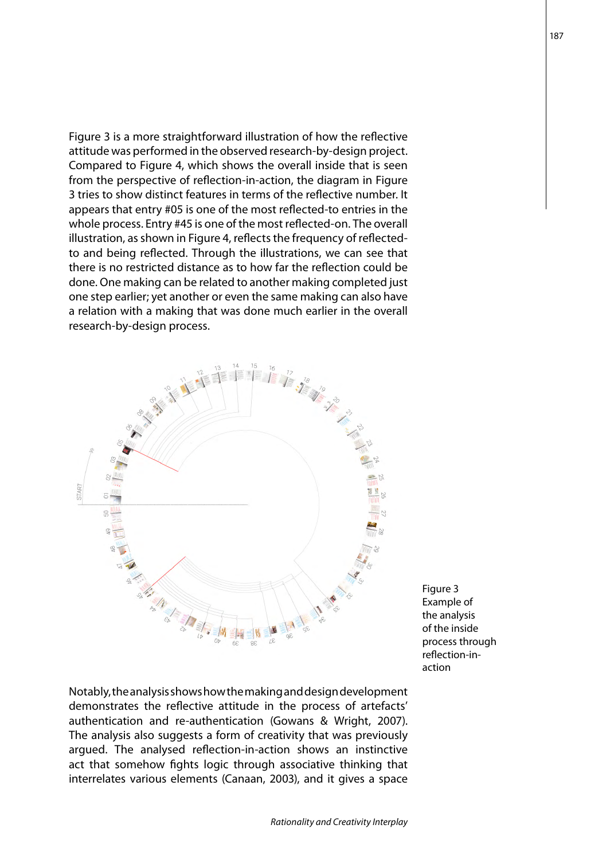Figure 3 is a more straightforward illustration of how the reflective attitude was performed in the observed research-by-design project. Compared to Figure 4, which shows the overall inside that is seen from the perspective of reflection-in-action, the diagram in Figure 3 tries to show distinct features in terms of the reflective number. It appears that entry #05 is one of the most reflected-to entries in the whole process. Entry #45 is one of the most reflected-on. The overall illustration, as shown in Figure 4, reflects the frequency of reflectedto and being reflected. Through the illustrations, we can see that there is no restricted distance as to how far the reflection could be done. One making can be related to another making completed just one step earlier; yet another or even the same making can also have a relation with a making that was done much earlier in the overall research-by-design process.



Notably, the analysis shows how the making and design development demonstrates the reflective attitude in the process of artefacts' authentication and re-authentication (Gowans & Wright, 2007). The analysis also suggests a form of creativity that was previously argued. The analysed reflection-in-action shows an instinctive act that somehow fights logic through associative thinking that interrelates various elements (Canaan, 2003), and it gives a space Figure 3 Example of the analysis of the inside process through reflection-inaction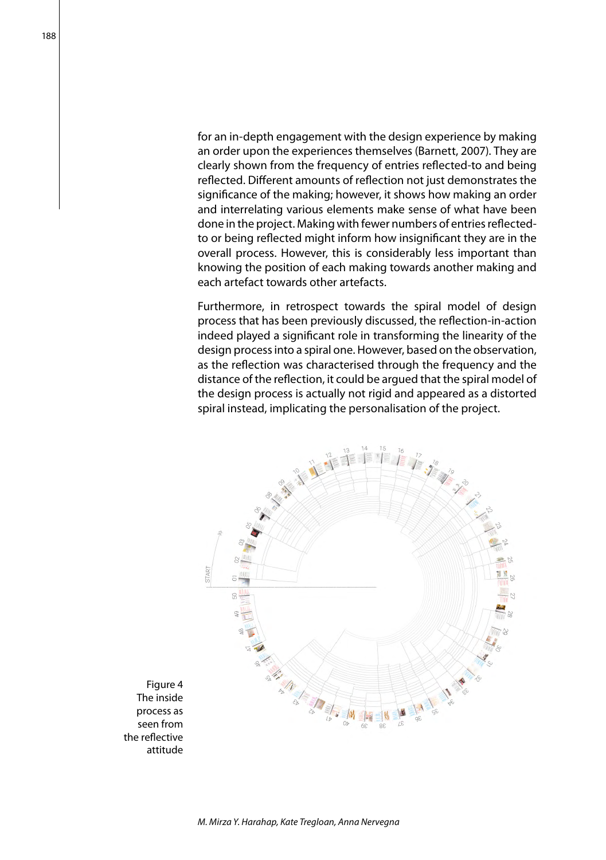for an in-depth engagement with the design experience by making an order upon the experiences themselves (Barnett, 2007). They are clearly shown from the frequency of entries reflected-to and being reflected. Different amounts of reflection not just demonstrates the significance of the making; however, it shows how making an order and interrelating various elements make sense of what have been done in the project. Making with fewer numbers of entries reflectedto or being reflected might inform how insignificant they are in the overall process. However, this is considerably less important than knowing the position of each making towards another making and each artefact towards other artefacts.

Furthermore, in retrospect towards the spiral model of design process that has been previously discussed, the reflection-in-action indeed played a significant role in transforming the linearity of the design process into a spiral one. However, based on the observation, as the reflection was characterised through the frequency and the distance of the reflection, it could be argued that the spiral model of the design process is actually not rigid and appeared as a distorted spiral instead, implicating the personalisation of the project.



188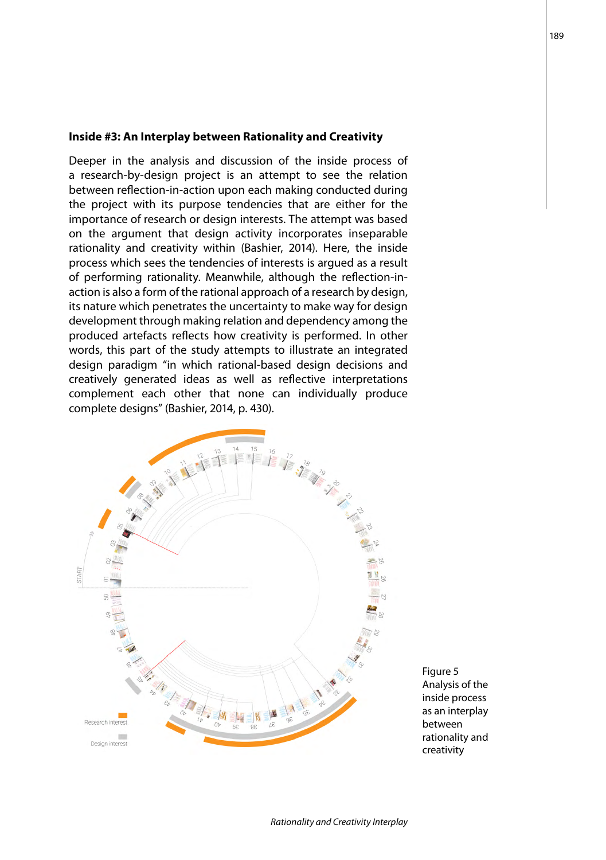#### **Inside #3: An Interplay between Rationality and Creativity**

Deeper in the analysis and discussion of the inside process of a research-by-design project is an attempt to see the relation between reflection-in-action upon each making conducted during the project with its purpose tendencies that are either for the importance of research or design interests. The attempt was based on the argument that design activity incorporates inseparable rationality and creativity within (Bashier, 2014). Here, the inside process which sees the tendencies of interests is argued as a result of performing rationality. Meanwhile, although the reflection-inaction is also a form of the rational approach of a research by design, its nature which penetrates the uncertainty to make way for design development through making relation and dependency among the produced artefacts reflects how creativity is performed. In other words, this part of the study attempts to illustrate an integrated design paradigm "in which rational-based design decisions and creatively generated ideas as well as reflective interpretations complement each other that none can individually produce complete designs" (Bashier, 2014, p. 430).



Figure 5 Analysis of the inside process as an interplay between rationality and creativity

189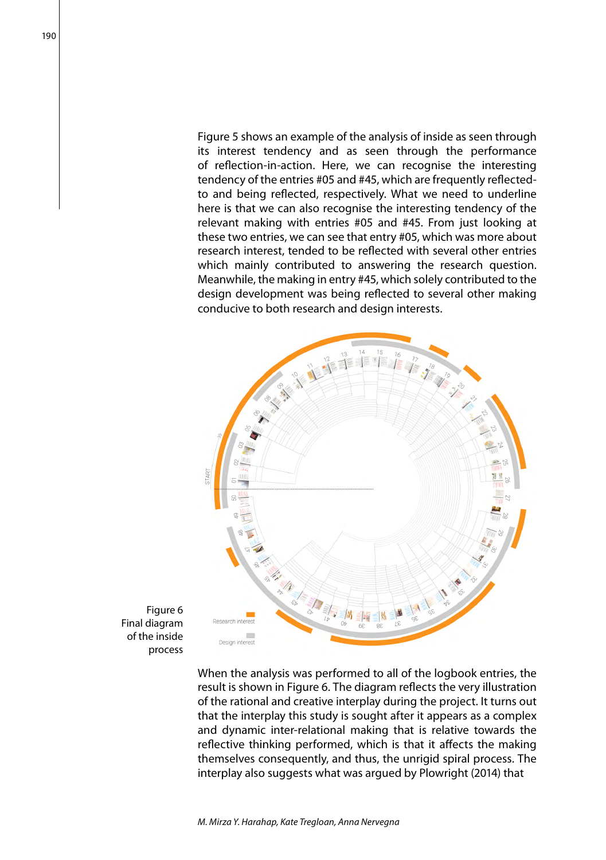Figure 5 shows an example of the analysis of inside as seen through its interest tendency and as seen through the performance of reflection-in-action. Here, we can recognise the interesting tendency of the entries #05 and #45, which are frequently reflectedto and being reflected, respectively. What we need to underline here is that we can also recognise the interesting tendency of the relevant making with entries #05 and #45. From just looking at these two entries, we can see that entry #05, which was more about research interest, tended to be reflected with several other entries which mainly contributed to answering the research question. Meanwhile, the making in entry #45, which solely contributed to the design development was being reflected to several other making conducive to both research and design interests.



Figure 6 Final diagram of the inside process

> When the analysis was performed to all of the logbook entries, the result is shown in Figure 6. The diagram reflects the very illustration of the rational and creative interplay during the project. It turns out that the interplay this study is sought after it appears as a complex and dynamic inter-relational making that is relative towards the reflective thinking performed, which is that it affects the making themselves consequently, and thus, the unrigid spiral process. The interplay also suggests what was argued by Plowright (2014) that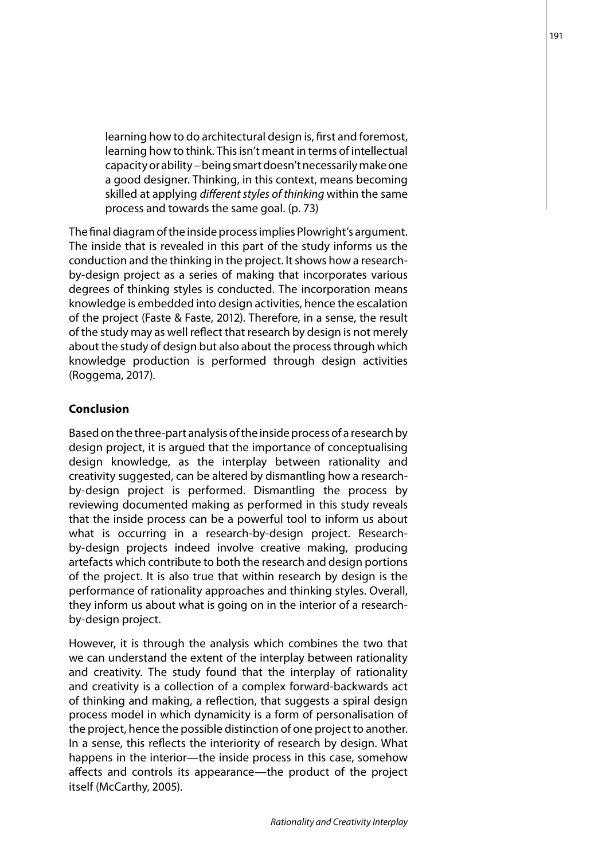learning how to do architectural design is, first and foremost, learning how to think. This isn't meant in terms of intellectual capacity or ability – being smart doesn't necessarily make one a good designer. Thinking, in this context, means becoming skilled at applying *different styles of thinking* within the same process and towards the same goal. (p. 73)

The final diagram of the inside process implies Plowright's argument. The inside that is revealed in this part of the study informs us the conduction and the thinking in the project. It shows how a researchby-design project as a series of making that incorporates various degrees of thinking styles is conducted. The incorporation means knowledge is embedded into design activities, hence the escalation of the project (Faste & Faste, 2012). Therefore, in a sense, the result of the study may as well reflect that research by design is not merely about the study of design but also about the process through which knowledge production is performed through design activities (Roggema, 2017).

#### **Conclusion**

Based on the three-part analysis of the inside process of a research by design project, it is argued that the importance of conceptualising design knowledge, as the interplay between rationality and creativity suggested, can be altered by dismantling how a researchby-design project is performed. Dismantling the process by reviewing documented making as performed in this study reveals that the inside process can be a powerful tool to inform us about what is occurring in a research-by-design project. Researchby-design projects indeed involve creative making, producing artefacts which contribute to both the research and design portions of the project. It is also true that within research by design is the performance of rationality approaches and thinking styles. Overall, they inform us about what is going on in the interior of a researchby-design project.

However, it is through the analysis which combines the two that we can understand the extent of the interplay between rationality and creativity. The study found that the interplay of rationality and creativity is a collection of a complex forward-backwards act of thinking and making, a reflection, that suggests a spiral design process model in which dynamicity is a form of personalisation of the project, hence the possible distinction of one project to another. In a sense, this reflects the interiority of research by design. What happens in the interior—the inside process in this case, somehow affects and controls its appearance—the product of the project itself (McCarthy, 2005).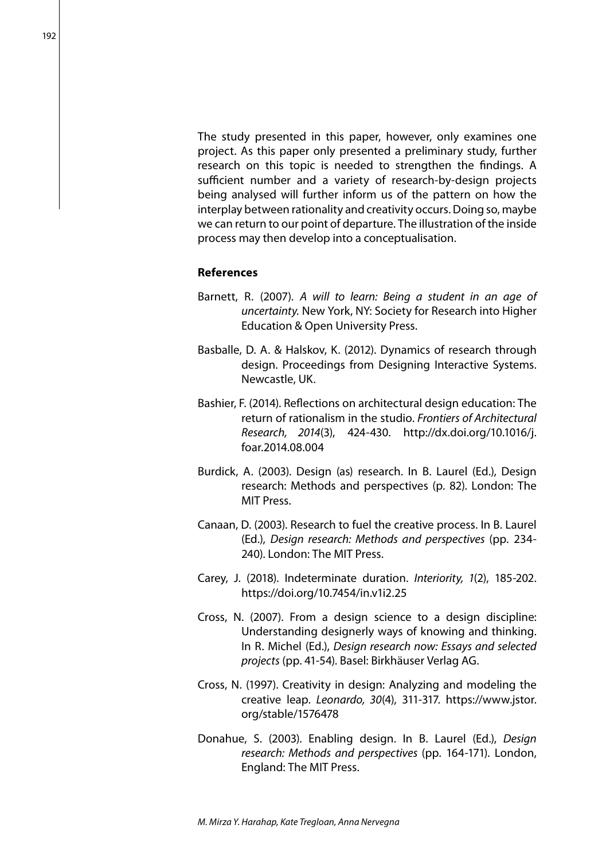The study presented in this paper, however, only examines one project. As this paper only presented a preliminary study, further research on this topic is needed to strengthen the findings. A sufficient number and a variety of research-by-design projects being analysed will further inform us of the pattern on how the interplay between rationality and creativity occurs. Doing so, maybe we can return to our point of departure. The illustration of the inside process may then develop into a conceptualisation.

#### **References**

- Barnett, R. (2007). *A will to learn: Being a student in an age of uncertainty.* New York, NY: Society for Research into Higher Education & Open University Press.
- Basballe, D. A. & Halskov, K. (2012). Dynamics of research through design. Proceedings from Designing Interactive Systems. Newcastle, UK.
- Bashier, F. (2014). Reflections on architectural design education: The return of rationalism in the studio. *Frontiers of Architectural Research, 2014*(3), 424-430. http://dx.doi.org/10.1016/j. foar.2014.08.004
- Burdick, A. (2003). Design (as) research. In B. Laurel (Ed.), Design research: Methods and perspectives (p. 82). London: The MIT Press.
- Canaan, D. (2003). Research to fuel the creative process. In B. Laurel (Ed.), *Design research: Methods and perspectives* (pp. 234- 240). London: The MIT Press.
- Carey, J. (2018). Indeterminate duration. *Interiority, 1*(2), 185-202. https://doi.org/10.7454/in.v1i2.25
- Cross, N. (2007). From a design science to a design discipline: Understanding designerly ways of knowing and thinking. In R. Michel (Ed.), *Design research now: Essays and selected projects* (pp. 41-54). Basel: Birkhäuser Verlag AG.
- Cross, N. (1997). Creativity in design: Analyzing and modeling the creative leap. *Leonardo, 30*(4), 311-317. https://www.jstor. org/stable/1576478
- Donahue, S. (2003). Enabling design. In B. Laurel (Ed.), *Design research: Methods and perspectives* (pp. 164-171). London, England: The MIT Press.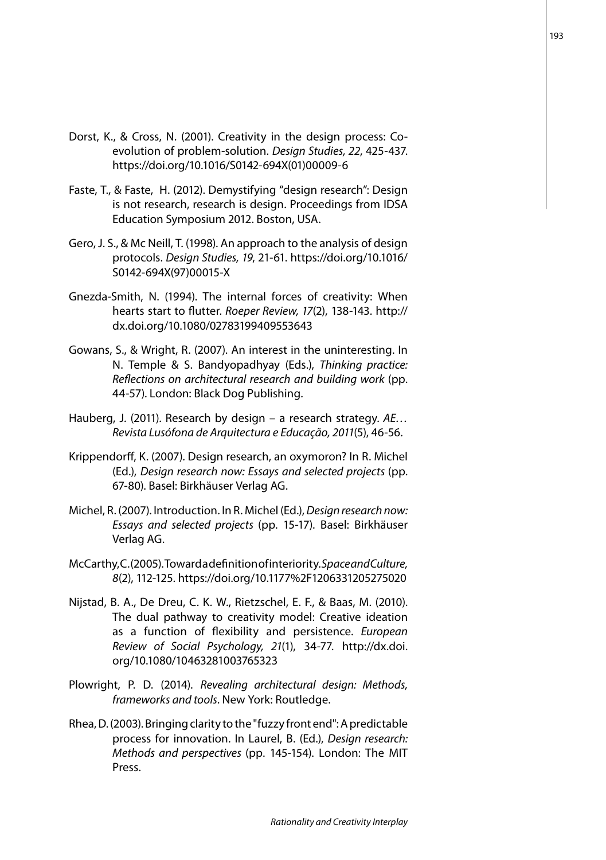- Dorst, K., & Cross, N. (2001). Creativity in the design process: Coevolution of problem-solution. *Design Studies, 22*, 425-437. https://doi.org/10.1016/S0142-694X(01)00009-6
- Faste, T., & Faste, H. (2012). Demystifying "design research": Design is not research, research is design. Proceedings from IDSA Education Symposium 2012. Boston, USA.
- Gero, J. S., & Mc Neill, T. (1998). An approach to the analysis of design protocols. *Design Studies, 19*, 21-61. https://doi.org/10.1016/ S0142-694X(97)00015-X
- Gnezda-Smith, N. (1994). The internal forces of creativity: When hearts start to flutter. *Roeper Review, 17*(2), 138-143. http:// dx.doi.org/10.1080/02783199409553643
- Gowans, S., & Wright, R. (2007). An interest in the uninteresting. In N. Temple & S. Bandyopadhyay (Eds.), *Thinking practice: Reflections on architectural research and building work* (pp. 44-57). London: Black Dog Publishing.
- Hauberg, J. (2011). Research by design a research strategy. *AE… Revista Lusófona de Arquitectura e Educação, 2011*(5), 46-56.
- Krippendorff, K. (2007). Design research, an oxymoron? In R. Michel (Ed.), *Design research now: Essays and selected projects* (pp. 67-80). Basel: Birkhäuser Verlag AG.
- Michel, R. (2007). Introduction. In R. Michel (Ed.), *Design research now: Essays and selected projects* (pp. 15-17). Basel: Birkhäuser Verlag AG.
- McCarthy, C. (2005). Toward a definition of interiority. *Space and Culture, 8*(2), 112-125. https://doi.org/10.1177%2F1206331205275020
- Nijstad, B. A., De Dreu, C. K. W., Rietzschel, E. F., & Baas, M. (2010). The dual pathway to creativity model: Creative ideation as a function of flexibility and persistence. *European Review of Social Psychology, 21*(1), 34-77. http://dx.doi. org/10.1080/10463281003765323
- Plowright, P. D. (2014). *Revealing architectural design: Methods, frameworks and tools*. New York: Routledge.
- Rhea, D. (2003). Bringing clarity to the "fuzzy front end": A predictable process for innovation. In Laurel, B. (Ed.), *Design research: Methods and perspectives* (pp. 145-154). London: The MIT Press.